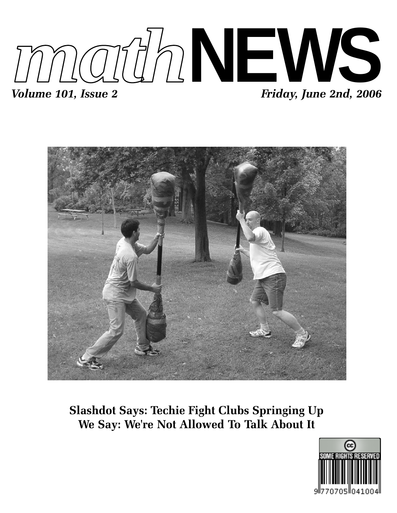



**Slashdot Says: Techie Fight Clubs Springing Up We Say: We're Not Allowed To Talk About It**

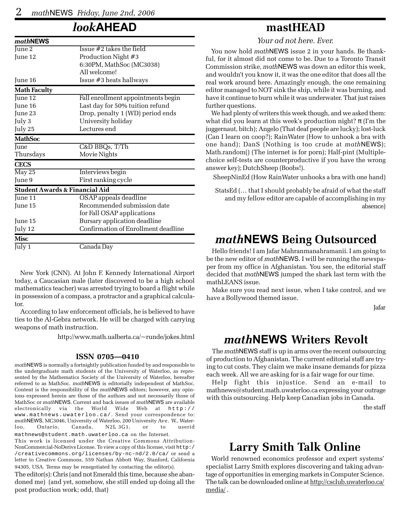## *look***AHEAD**

| mathNEWS            |                                           |  |  |
|---------------------|-------------------------------------------|--|--|
| June 2              | Issue #2 takes the field                  |  |  |
| June 12             | Production Night #3                       |  |  |
|                     | 6:30PM, MathSoc (MC3038)                  |  |  |
|                     | All welcome!                              |  |  |
| June 16             | Issue #3 heats hallways                   |  |  |
| <b>Math Faculty</b> |                                           |  |  |
| June 12             | Fall enrollment appointments begin        |  |  |
| June 16             | Last day for 50% tuition refund           |  |  |
| June 23             | Drop, penalty 1 (WD) period ends          |  |  |
| July 3              | University holiday                        |  |  |
| July 25             | Lectures end                              |  |  |
| <b>MathSoc</b>      |                                           |  |  |
| June                | C&D BBQs, T/Th                            |  |  |
| Thursdays           | Movie Nights                              |  |  |
| <b>CECS</b>         |                                           |  |  |
| May 25              | Interviews begin                          |  |  |
| June 9              | First ranking cycle                       |  |  |
|                     | <b>Student Awards &amp; Financial Aid</b> |  |  |
| June 11             | OSAP appeals deadline                     |  |  |
| June 15             | Recommended submission date               |  |  |
|                     | for Fall OSAP applications                |  |  |
| June 15             | Bursary application deadline              |  |  |
| July 12             | Confirmation of Enrollment deadline       |  |  |
| <b>Misc</b>         |                                           |  |  |
| July 1              | Canada Day                                |  |  |
|                     |                                           |  |  |

New York (CNN). At John F. Kennedy International Airport today, a Caucasian male (later discovered to be a high school mathematics teacher) was arrested trying to board a flight while in possession of a compass, a protractor and a graphical calculator.

According to law enforcement officials, he is believed to have ties to the Al-Gebra network. He will be charged with carrying weapons of math instruction.

http://www.math.ualberta.ca/~runde/jokes.html

#### **ISSN 0705—0410**

*math*NEWS is normally a fortnightly publication funded by and responsible to the undergraduate math students of the University of Waterloo, as represented by the Mathematics Society of the University of Waterloo, hereafter referred to as MathSoc. *math*NEWS is editorially independent of MathSoc. Content is the responsibility of the *math*NEWS editors; however, any opinions expressed herein are those of the authors and not necessarily those of MathSoc or *math*NEWS. Current and back issues of *math*NEWS are available electronically via the World Wide Web at http:// www.mathnews.uwaterloo.ca/. Send your correspondence to: *math*NEWS, MC3046, University of Waterloo, 200 University Ave. W., Waterloo, Ontario, Canada, N2L 3G1, or to userid mathnews@student.math.uwaterloo.ca on the Internet.

This work is licensed under the Creative Commons Attribution-NonCommercial-NoDerivs License. To view a copy of this license, visit http:/ /creativecommons.org/licenses/by-nc-nd/2.0/ca/ or send a letter to Creative Commons, 559 Nathan Abbott Way, Stanford, California 94305, USA. Terms may be renegotiated by contacting the editor(s).

The editor(s): Chris (and not Emerald this time, because she abandoned me) (and yet, somehow, she still ended up doing all the post production work; odd, that)

### **mastHEAD**

*Your ad not here. Ever.*

You now hold *math*NEWS issue 2 in your hands. Be thankful, for it almost did not come to be. Due to a Toronto Transit Commission strike, *math*NEWS was down an editor this week, and wouldn't you know it, it was the one editor that does all the real work around here. Amazingly enough, the one remaining editor managed to NOT sink the ship, while it was burning, and have it continue to burn while it was underwater. That just raises further questions.

We had plenty of writers this week though, and we asked them: what did you learn at this week's production night?  $\pi$  (I'm the juggernaut, bitch); Angelo (That deaf people are lucky); lost-luck (Can I learn on coop?); RainWater (How to unhook a bra with one hand); DanS (Nothing is too crude at *math*NEWS); Math.random() (The internet is for porn); Half-pint (Multiplechoice self-tests are counterproductive if you have the wrong answer key); DutchSheep (Boobs!).

SheepNinEd (How RainWater unhooks a bra with one hand)

StatsEd (… that I should probably be afraid of what the staff and my fellow editor are capable of accomplishing in my absence)

## *math***NEWS Being Outsourced**

Hello friends! I am Jafar Mahranmanahramanii. I am going to be the new editor of *math*NEWS. I will be running the newspaper from my office in Afghanistan. You see, the editorial staff decided that *math*NEWS jumped the shark last term with the mathLEANS issue.

Make sure you read next issue, when I take control, and we have a Bollywood themed issue.

Jafar

### *math***NEWS Writers Revolt**

The *math*NEWS staff is up in arms over the recent outsourcing of production to Afghanistan. The current editorial staff are trying to cut costs. They claim we make insane demands for pizza each week. All we are asking for is a fair wage for our time.

Help fight this injustice. Send an e-mail to mathnews@student.math.uwaterloo.ca expressing your outrage with this outsourcing. Help keep Canadian jobs in Canada.

the staff

## **Larry Smith Talk Online**

World renowned economics professor and expert systems' specialist Larry Smith explores discovering and taking advantage of opportunities in emerging markets in Computer Science. The talk can be downloaded online at http://csclub.uwaterloo.ca/ media/ .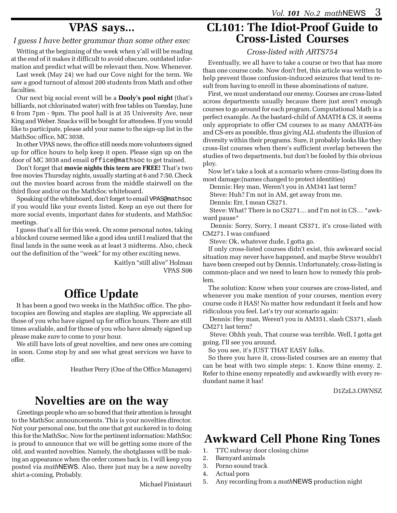### **VPAS says...**

#### *I guess I have better grammar than some other exec*

Writing at the beginning of the week when y'all will be reading at the end of it makes it difficult to avoid obscure, outdated information and predict what will be relevant then. Now. Whenever.

Last week (May 24) we had our Cove night for the term. We saw a good turnout of almost 200 students from Math and other faculties.

Our next big social event will be a **Dooly's pool night** (that's billiards, not chlorinated water) with free tables on Tuesday, June 6 from 7pm - 9pm. The pool hall is at 35 University Ave, near King and Weber. Snacks will be bought for attendees. If you would like to participate, please add your name to the sign-up list in the MathSoc office, MC 3038.

In other VPAS news, the office still needs more volunteers signed up for office hours to help keep it open. Please sign up on the door of MC 3038 and email office@mathsoc to get trained.

Don't forget that **movie nights this term are FREE!** That's two free movies Thursday nights, usually starting at 6 and 7:50. Check out the movies board across from the middle stairwell on the third floor and/or on the MathSoc whiteboard.

Speaking of the whiteboard, don't forget to email VPAS@mathsoc if you would like your events listed. Keep an eye out there for more social events, important dates for students, and MathSoc meetings.

I guess that's all for this week. On some personal notes, taking a blocked course seemed like a good idea until I realized that the final lands in the same week as at least 3 midterms. Also, check out the definition of the "week" for my other exciting news.

> Kaitlyn "still alive" Holman VPAS S06

## **Office Update**

It has been a good two weeks in the MathSoc office. The photocopies are flowing and staples are stapling. We appreciate all those of you who have signed up for office hours. There are still times avaliable, and for those of you who have already signed up please make sure to come to your hour.

We still have lots of great novelties, and new ones are coming in soon. Come stop by and see what great services we have to offer.

Heather Perry (One of the Office Managers)

## **Novelties are on the way**

Greetings people who are so bored that their attention is brought to the MathSoc announcements. This is your novelties director. Not your personal one, but the one that got suckered in to doing this for the MathSoc. Now for the pertinent information: MathSoc is proud to announce that we will be getting some more of the old, and wanted novelties. Namely, the shotglasses will be making an appearance when the order comes back in. I will keep you posted via *math*NEWS. Also, there just may be a new novelty shirt a-coming. Probably.

Michael Finistauri

## **CL101: The Idiot-Proof Guide to Cross-Listed Courses**

#### *Cross-listed with ARTS754*

Eventually, we all have to take a course or two that has more than one course code. Now don't fret, this article was written to help prevent those confusion-induced seizures that tend to result from having to enroll in these abominations of nature.

First, we must understand our enemy. Courses are cross-listed across departments usually because there just aren't enough courses to go around for each program. Computational Math is a perfect example. As the bastard-child of AMATH & CS, it seems only appropriate to offer CM courses to as many AMATH-ies and CS-ers as possible, thus giving ALL students the illusion of diversity within their programs. Sure, it probably looks like they cross-list courses when there's sufficient overlap between the studies of two departments, but don't be fooled by this obvious ploy.

Now let's take a look at a scenario where cross-listing does its most damage:(names changed to protect identities)

Dennis: Hey man, Weren't you in AM341 last term?

Steve: Huh? I'm not in AM, get away from me.

Dennis: Err, I mean CS271.

 Steve: What? There is no CS271… and I'm not in CS… \*awkward pause\*

 Dennis: Sorry, Sorry, I meant CS371, it's cross-listed with CM271. I was confused

Steve: Ok, whatever dude, I gotta go.

If only cross-listed courses didn't exist, this awkward social situation may never have happened, and maybe Steve wouldn't have been creeped out by Dennis. Unfortunately, cross-listing is common-place and we need to learn how to remedy this problem.

The solution: Know when your courses are cross-listed, and whenever you make mention of your courses, mention every course code it HAS! No matter how redundant it feels and how ridiculous you feel. Let's try our scenario again:

 Dennis: Hey man, Weren't you in AM351, slash CS371, slash CM271 last term?

 Steve: Ohhh yeah, That course was terrible. Well, I gotta get going. I'll see you around.

So you see, it's JUST THAT EASY folks.

So there you have it, cross-listed courses are an enemy that can be beat with two simple steps: 1. Know thine enemy. 2. Refer to thine enemy repeatedly and awkwardly with every redundant name it has!

D1ZzL3.OWNSZ

## **Awkward Cell Phone Ring Tones**

- 1. TTC subway door closing chime
- 2. Barnyard animals
- 3. Porno sound track
- 4. Actual porn
- 5. Any recording from a *math*NEWS production night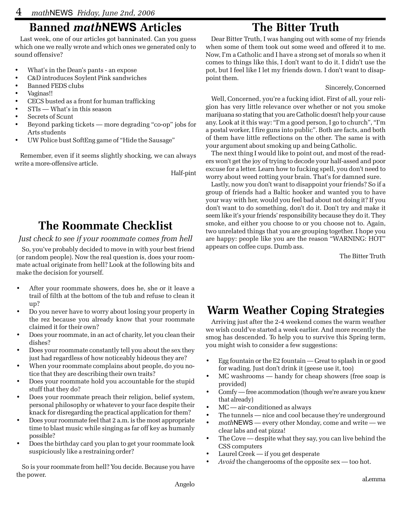# **Banned** *math***NEWS Articles**

Last week, one of our articles got banninated. Can you guess which one we really wrote and which ones we generated only to sound offensive?

- What's in the Dean's pants an expose
- C&D introduces Soylent Pink sandwiches
- Banned FEDS clubs
- Vaginas!!
- CECS busted as a front for human trafficking
- STIs What's in this season
- Secrets of Scunt
- Beyond parking tickets more degrading "co-op" jobs for Arts students
- UW Police bust SoftEng game of "Hide the Sausage"

Remember, even if it seems slightly shocking, we can always write a more-offensive article.

Half-pint

# **The Roommate Checklist**

### *Just check to see if your roommate comes from hell*

So, you've probably decided to move in with your best friend (or random people). Now the real question is, does your roommate actual originate from hell? Look at the following bits and make the decision for yourself.

- After your roommate showers, does he, she or it leave a trail of filth at the bottom of the tub and refuse to clean it up?
- Do you never have to worry about losing your property in the rez because you already know that your roommate claimed it for their own?
- Does your roommate, in an act of charity, let you clean their dishes?
- Does your roommate constantly tell you about the sex they just had regardless of how noticeably hideous they are?
- When your roommate complains about people, do you notice that they are describing their own traits?
- Does your roommate hold you accountable for the stupid stuff that they do?
- Does your roommate preach their religion, belief system, personal philosophy or whatever to your face despite their knack for disregarding the practical application for them?
- Does your roommate feel that 2 a.m. is the most appropriate time to blast music while singing as far off key as humanly possible?
- Does the birthday card you plan to get your roommate look suspiciously like a restraining order?

So is your roommate from hell? You decide. Because you have the power.

# **The Bitter Truth**

Dear Bitter Truth, I was hanging out with some of my friends when some of them took out some weed and offered it to me. Now, I'm a Catholic and I have a strong set of morals so when it comes to things like this, I don't want to do it. I didn't use the pot, but I feel like I let my friends down. I don't want to disappoint them.

### Sincerely, Concerned

Well, Concerned, you're a fucking idiot. First of all, your religion has very little relevance over whether or not you smoke marijuana so stating that you are Catholic doesn't help your cause any. Look at it this way: "I'm a good person, I go to church", "I'm a postal worker, I fire guns into public". Both are facts, and both of them have little reflections on the other. The same is with your argument about smoking up and being Catholic.

The next thing I would like to point out, and most of the readers won't get the joy of trying to decode your half-assed and poor excuse for a letter. Learn how to fucking spell, you don't need to worry about weed rotting your brain. That's for damned sure.

Lastly, now you don't want to disappoint your friends? So if a group of friends had a Baltic hooker and wanted you to have your way with her, would you feel bad about not doing it? If you don't want to do something, don't do it. Don't try and make it seem like it's your friends' responsibility because they do it. They smoke, and either you choose to or you choose not to. Again, two unrelated things that you are grouping together. I hope you are happy: people like you are the reason "WARNING: HOT" appears on coffee cups. Dumb ass.

The Bitter Truth

# **Warm Weather Coping Strategies**

Arriving just after the 2-4 weekend comes the warm weather we wish could've started a week earlier. And more recently the smog has descended. To help you to survive this Spring term, you might wish to consider a few suggestions:

- Egg fountain or the E2 fountain Great to splash in or good for wading. Just don't drink it (geese use it, too)
- MC washrooms handy for cheap showers (free soap is provided)
- Comfy free acommodation (though we're aware you knew that already)
- MC air-conditioned as always
- The tunnels nice and cool because they're underground
- *math*NEWS every other Monday, come and write we clear labs and eat pizza!
- The Cove despite what they say, you can live behind the CSS computers
- Laurel Creek if you get desperate
- Avoid the changerooms of the opposite sex too hot.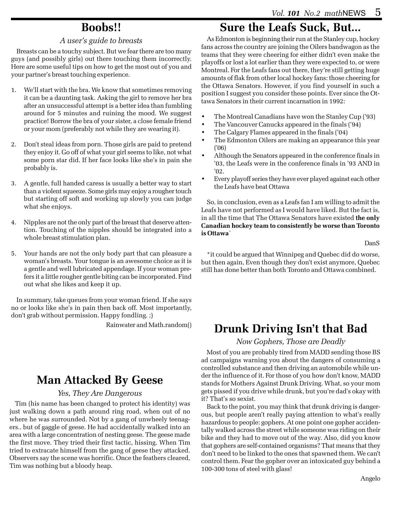## **Boobs!!**

#### *A user's guide to breasts*

Breasts can be a touchy subject. But we fear there are too many guys (and possibly girls) out there touching them incorrectly. Here are some useful tips on how to get the most out of you and your partner's breast touching experience.

- 1. We'll start with the bra. We know that sometimes removing it can be a daunting task. Asking the girl to remove her bra after an unsuccessful attempt is a better idea than fumbling around for 5 minutes and ruining the mood. We suggest practice! Borrow the bra of your sister, a close female friend or your mom (preferably not while they are wearing it).
- 2. Don't steal ideas from porn. Those girls are paid to pretend they enjoy it. Go off of what your girl seems to like, not what some porn star did. If her face looks like she's in pain she probably is.
- 3. A gentle, full handed caress is usually a better way to start than a violent squeeze. Some girls may enjoy a rougher touch but starting off soft and working up slowly you can judge what she enjoys.
- 4. Nipples are not the only part of the breast that deserve attention. Touching of the nipples should be integrated into a whole breast stimulation plan.
- 5. Your hands are not the only body part that can pleasure a woman's breasts. Your tongue is an awesome choice as it is a gentle and well lubricated appendage. If your woman prefers it a little rougher gentle biting can be incorporated. Find out what she likes and keep it up.

In summary, take queues from your woman friend. If she says no or looks like she's in pain then back off. Most importantly, don't grab without permission. Happy fondling. ;)

Rainwater and Math.random()

## **Man Attacked By Geese**

#### *Yes, They Are Dangerous*

Tim (his name has been changed to protect his identity) was just walking down a path around ring road, when out of no where he was surrounded. Not by a gang of unwheely teenagers.. but of gaggle of geese. He had accidentally walked into an area with a large concentration of nesting geese. The geese made the first move. They tried their first tactic, hissing. When Tim tried to extracate himself from the gang of geese they attacked. Observers say the scene was horrific. Once the feathers cleared, Tim was nothing but a bloody heap.

## **Sure the Leafs Suck, But...**

As Edmonton is beginning their run at the Stanley cup, hockey fans across the country are joining the Oilers bandwagon as the teams that they were cheering for either didn't even make the playoffs or lost a lot earlier than they were expected to, or were Montreal. For the Leafs fans out there, they're still getting huge amounts of flak from other local hockey fans: those cheering for the Ottawa Senators. However, if you find yourself in such a position I suggest you consider these points. Ever since the Ottawa Senators in their current incarnation in 1992:

- The Montreal Canadians have won the Stanley Cup ('93)
- The Vancouver Canucks appeared in the finals ('94)
- The Calgary Flames appeared in the finals ('04)
- The Edmonton Oilers are making an appearance this year ('06)
- Although the Senators appeared in the conference finals in '03, the Leafs were in the conference finals in '93 AND in '02.
- Every playoff series they have ever played against each other the Leafs have beat Ottawa

So, in conclusion, even as a Leafs fan I am willing to admit the Leafs have not performed as I would have liked. But the fact is, in all the time that The Ottawa Senators have existed **the only Canadian hockey team to consistently be worse than Toronto is Ottawa**\*

DanS

\*it could be argued that Winnipeg and Quebec did do worse, but then again, Even though they don't exist anymore, Quebec still has done better than both Toronto and Ottawa combined.

## **Drunk Driving Isn't that Bad**

*Now Gophers, Those are Deadly*

Most of you are probably tired from MADD sending those BS ad campaigns warning you about the dangers of consuming a controlled substance and then driving an automobile while under the influence of it. For those of you how don't know, MADD stands for Mothers Against Drunk Driving. What, so your mom gets pissed if you drive while drunk, but you're dad's okay with it? That's so sexist.

Back to the point, you may think that drunk driving is dangerous, but people aren't really paying attention to what's really hazardous to people: gophers. At one point one gopher accidentally walked across the street while someone was riding on their bike and they had to move out of the way. Also, did you know that gophers are self-contained organisms? That means that they don't need to be linked to the ones that spawned them. We can't control them. Fear the gopher over an intoxicated guy behind a 100-300 tons of steel with glass!